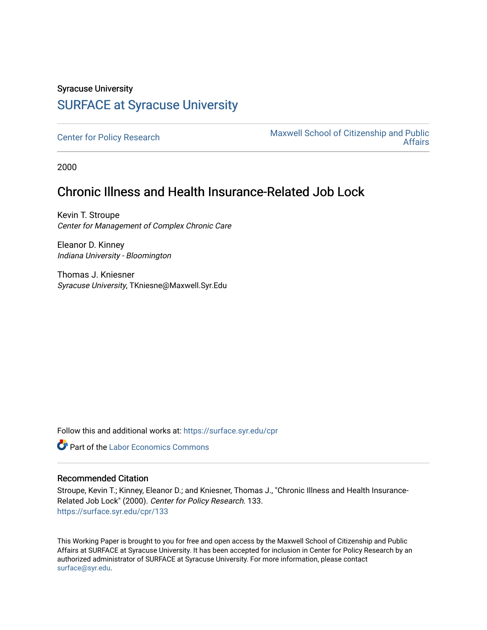# Syracuse University [SURFACE at Syracuse University](https://surface.syr.edu/)

[Center for Policy Research](https://surface.syr.edu/cpr) Maxwell School of Citizenship and Public [Affairs](https://surface.syr.edu/maxwell) 

2000

# Chronic Illness and Health Insurance-Related Job Lock

Kevin T. Stroupe Center for Management of Complex Chronic Care

Eleanor D. Kinney Indiana University - Bloomington

Thomas J. Kniesner Syracuse University, TKniesne@Maxwell.Syr.Edu

Follow this and additional works at: [https://surface.syr.edu/cpr](https://surface.syr.edu/cpr?utm_source=surface.syr.edu%2Fcpr%2F133&utm_medium=PDF&utm_campaign=PDFCoverPages) 

**Part of the [Labor Economics Commons](http://network.bepress.com/hgg/discipline/349?utm_source=surface.syr.edu%2Fcpr%2F133&utm_medium=PDF&utm_campaign=PDFCoverPages)** 

### Recommended Citation

Stroupe, Kevin T.; Kinney, Eleanor D.; and Kniesner, Thomas J., "Chronic Illness and Health Insurance-Related Job Lock" (2000). Center for Policy Research. 133. [https://surface.syr.edu/cpr/133](https://surface.syr.edu/cpr/133?utm_source=surface.syr.edu%2Fcpr%2F133&utm_medium=PDF&utm_campaign=PDFCoverPages) 

This Working Paper is brought to you for free and open access by the Maxwell School of Citizenship and Public Affairs at SURFACE at Syracuse University. It has been accepted for inclusion in Center for Policy Research by an authorized administrator of SURFACE at Syracuse University. For more information, please contact [surface@syr.edu.](mailto:surface@syr.edu)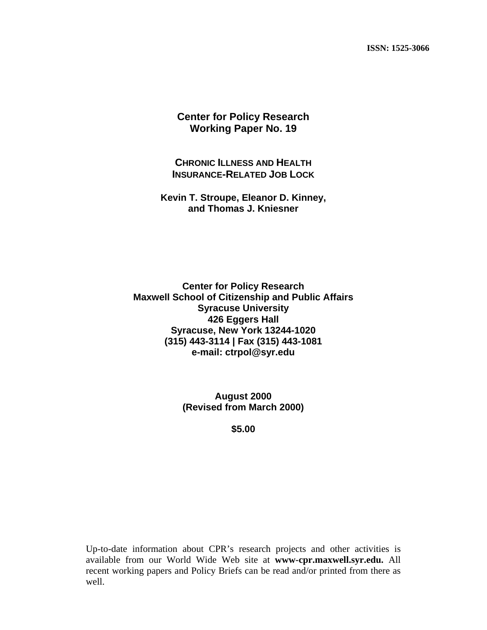**ISSN: 1525-3066** 

### **Center for Policy Research Working Paper No. 19**

**CHRONIC ILLNESS AND HEALTH INSURANCE-RELATED JOB LOCK**

**Kevin T. Stroupe, Eleanor D. Kinney, and Thomas J. Kniesner** 

**Center for Policy Research Maxwell School of Citizenship and Public Affairs Syracuse University 426 Eggers Hall Syracuse, New York 13244-1020 (315) 443-3114 | Fax (315) 443-1081 e-mail: ctrpol@syr.edu** 

> **August 2000 (Revised from March 2000)**

> > **\$5.00**

Up-to-date information about CPR's research projects and other activities is available from our World Wide Web site at **www-cpr.maxwell.syr.edu.** All recent working papers and Policy Briefs can be read and/or printed from there as well.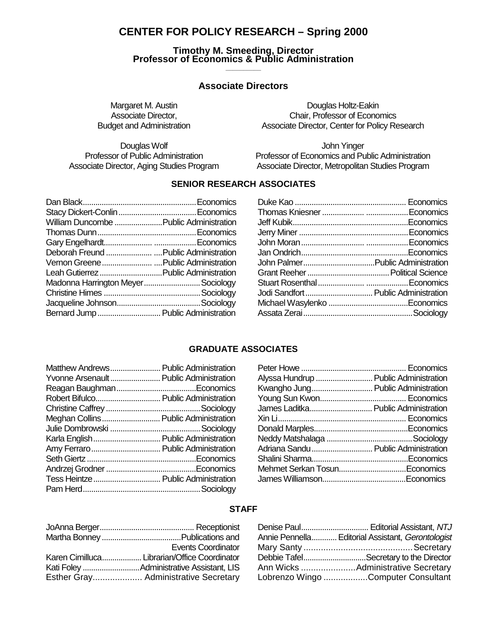## **CENTER FOR POLICY RESEARCH – Spring 2000**

# **Timothy M. Smeeding, Director Professor of Economics & Public Administration \_\_\_\_\_\_\_\_\_\_**

### **Associate Directors**

Douglas Wolf<br>Professor of Public Administration<br>Professor of Economics and Pu

Margaret M. Austin **Douglas Holtz-Eakin** Associate Director, Chair, Professor of Economics Budget and Administration **Associate Director, Center for Policy Research** 

Professor of Economics and Public Administration Associate Director, Aging Studies Program Associate Director, Metropolitan Studies Program

### **SENIOR RESEARCH ASSOCIATES**

| William Duncombe  Public Administration |  |
|-----------------------------------------|--|
|                                         |  |
|                                         |  |
|                                         |  |
|                                         |  |
|                                         |  |
| Madonna Harrington MeyerSociology       |  |
|                                         |  |
|                                         |  |
| Bernard Jump  Public Administration     |  |

| Jodi Sandfort  Public Administration |
|--------------------------------------|
|                                      |
|                                      |
|                                      |

#### **GRADUATE ASSOCIATES**

| Matthew Andrews Public Administration  |  |
|----------------------------------------|--|
| Yvonne Arsenault Public Administration |  |
|                                        |  |
| Robert Bifulco Public Administration   |  |
|                                        |  |
| Meghan Collins Public Administration   |  |
|                                        |  |
| Karla English Public Administration    |  |
|                                        |  |
|                                        |  |
|                                        |  |
| Tess Heintze  Public Administration    |  |
|                                        |  |

| Alyssa Hundrup  Public Administration |  |
|---------------------------------------|--|
| Kwangho Jung Public Administration    |  |
|                                       |  |
| James Laditka Public Administration   |  |
|                                       |  |
|                                       |  |
|                                       |  |
| Adriana Sandu  Public Administration  |  |
|                                       |  |
| Mehmet Serkan TosunEconomics          |  |
|                                       |  |
|                                       |  |

### **STAFF**

| <b>Events Coordinator</b>                    |
|----------------------------------------------|
| Karen Cimilluca Librarian/Office Coordinator |
|                                              |
|                                              |

| Annie Pennella Editorial Assistant, Gerontologist |
|---------------------------------------------------|
|                                                   |
| Debbie TafelSecretary to the Director             |
|                                                   |
| Lobrenzo Wingo Computer Consultant                |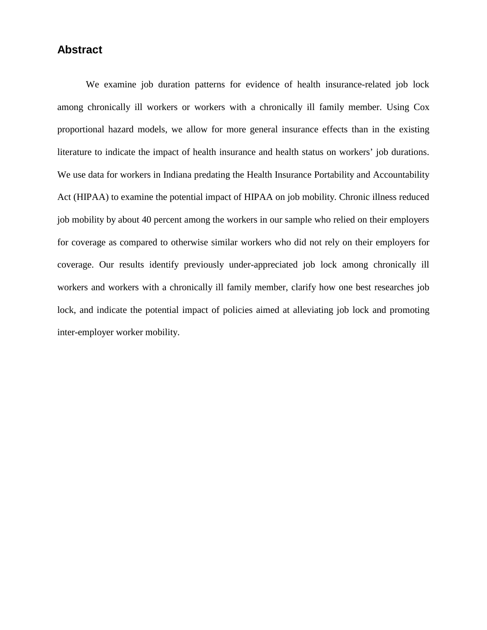## **Abstract**

We examine job duration patterns for evidence of health insurance-related job lock among chronically ill workers or workers with a chronically ill family member. Using Cox proportional hazard models, we allow for more general insurance effects than in the existing literature to indicate the impact of health insurance and health status on workers' job durations. We use data for workers in Indiana predating the Health Insurance Portability and Accountability Act (HIPAA) to examine the potential impact of HIPAA on job mobility. Chronic illness reduced job mobility by about 40 percent among the workers in our sample who relied on their employers for coverage as compared to otherwise similar workers who did not rely on their employers for coverage. Our results identify previously under-appreciated job lock among chronically ill workers and workers with a chronically ill family member, clarify how one best researches job lock, and indicate the potential impact of policies aimed at alleviating job lock and promoting inter-employer worker mobility.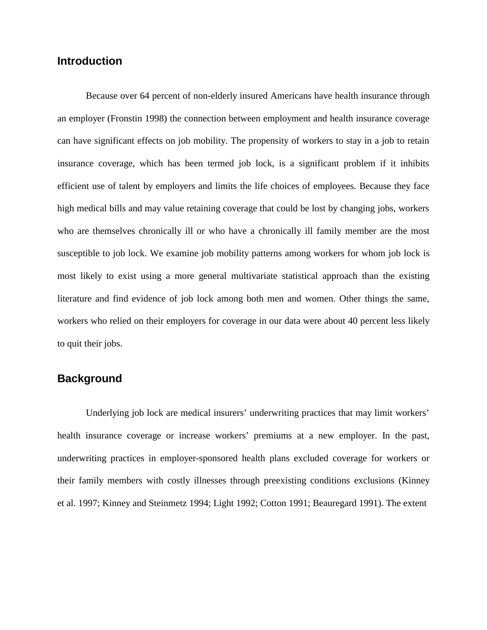### **Introduction**

Because over 64 percent of non-elderly insured Americans have health insurance through an employer (Fronstin 1998) the connection between employment and health insurance coverage can have significant effects on job mobility. The propensity of workers to stay in a job to retain insurance coverage, which has been termed job lock, is a significant problem if it inhibits efficient use of talent by employers and limits the life choices of employees. Because they face high medical bills and may value retaining coverage that could be lost by changing jobs, workers who are themselves chronically ill or who have a chronically ill family member are the most susceptible to job lock. We examine job mobility patterns among workers for whom job lock is most likely to exist using a more general multivariate statistical approach than the existing literature and find evidence of job lock among both men and women. Other things the same, workers who relied on their employers for coverage in our data were about 40 percent less likely to quit their jobs.

## **Background**

Underlying job lock are medical insurers' underwriting practices that may limit workers' health insurance coverage or increase workers' premiums at a new employer. In the past, underwriting practices in employer-sponsored health plans excluded coverage for workers or their family members with costly illnesses through preexisting conditions exclusions (Kinney et al. 1997; Kinney and Steinmetz 1994; Light 1992; Cotton 1991; Beauregard 1991). The extent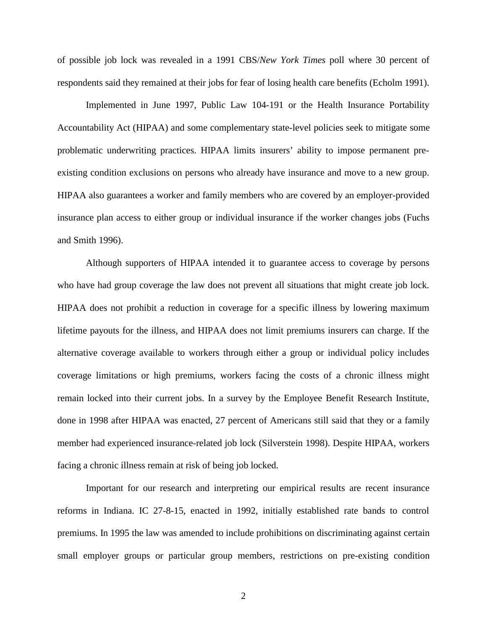of possible job lock was revealed in a 1991 CBS/*New York Times* poll where 30 percent of respondents said they remained at their jobs for fear of losing health care benefits (Echolm 1991).

Implemented in June 1997, Public Law 104-191 or the Health Insurance Portability Accountability Act (HIPAA) and some complementary state-level policies seek to mitigate some problematic underwriting practices. HIPAA limits insurers' ability to impose permanent preexisting condition exclusions on persons who already have insurance and move to a new group. HIPAA also guarantees a worker and family members who are covered by an employer-provided insurance plan access to either group or individual insurance if the worker changes jobs (Fuchs and Smith 1996).

Although supporters of HIPAA intended it to guarantee access to coverage by persons who have had group coverage the law does not prevent all situations that might create job lock. HIPAA does not prohibit a reduction in coverage for a specific illness by lowering maximum lifetime payouts for the illness, and HIPAA does not limit premiums insurers can charge. If the alternative coverage available to workers through either a group or individual policy includes coverage limitations or high premiums, workers facing the costs of a chronic illness might remain locked into their current jobs. In a survey by the Employee Benefit Research Institute, done in 1998 after HIPAA was enacted, 27 percent of Americans still said that they or a family member had experienced insurance-related job lock (Silverstein 1998). Despite HIPAA, workers facing a chronic illness remain at risk of being job locked.

Important for our research and interpreting our empirical results are recent insurance reforms in Indiana. IC 27-8-15, enacted in 1992, initially established rate bands to control premiums. In 1995 the law was amended to include prohibitions on discriminating against certain small employer groups or particular group members, restrictions on pre-existing condition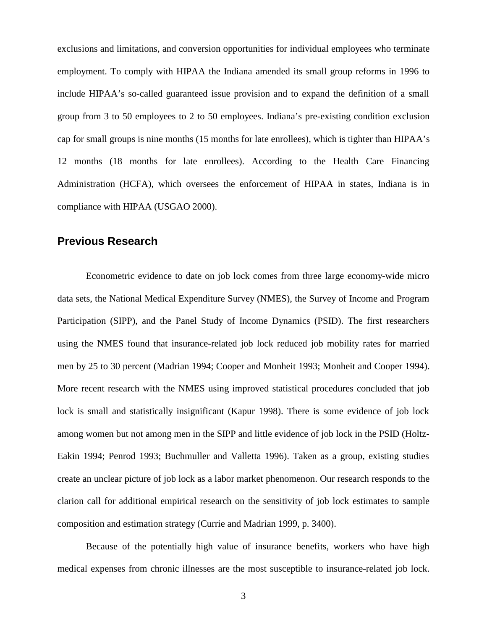exclusions and limitations, and conversion opportunities for individual employees who terminate employment. To comply with HIPAA the Indiana amended its small group reforms in 1996 to include HIPAA's so-called guaranteed issue provision and to expand the definition of a small group from 3 to 50 employees to 2 to 50 employees. Indiana's pre-existing condition exclusion cap for small groups is nine months (15 months for late enrollees), which is tighter than HIPAA's 12 months (18 months for late enrollees). According to the Health Care Financing Administration (HCFA), which oversees the enforcement of HIPAA in states, Indiana is in compliance with HIPAA (USGAO 2000).

# **Previous Research**

Econometric evidence to date on job lock comes from three large economy-wide micro data sets, the National Medical Expenditure Survey (NMES), the Survey of Income and Program Participation (SIPP), and the Panel Study of Income Dynamics (PSID). The first researchers using the NMES found that insurance-related job lock reduced job mobility rates for married men by 25 to 30 percent (Madrian 1994; Cooper and Monheit 1993; Monheit and Cooper 1994). More recent research with the NMES using improved statistical procedures concluded that job lock is small and statistically insignificant (Kapur 1998). There is some evidence of job lock among women but not among men in the SIPP and little evidence of job lock in the PSID (Holtz-Eakin 1994; Penrod 1993; Buchmuller and Valletta 1996). Taken as a group, existing studies create an unclear picture of job lock as a labor market phenomenon. Our research responds to the clarion call for additional empirical research on the sensitivity of job lock estimates to sample composition and estimation strategy (Currie and Madrian 1999, p. 3400).

Because of the potentially high value of insurance benefits, workers who have high medical expenses from chronic illnesses are the most susceptible to insurance-related job lock.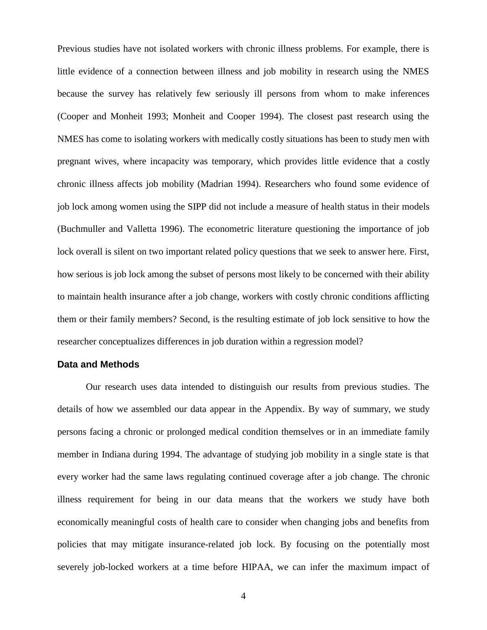Previous studies have not isolated workers with chronic illness problems. For example, there is little evidence of a connection between illness and job mobility in research using the NMES because the survey has relatively few seriously ill persons from whom to make inferences (Cooper and Monheit 1993; Monheit and Cooper 1994). The closest past research using the NMES has come to isolating workers with medically costly situations has been to study men with pregnant wives, where incapacity was temporary, which provides little evidence that a costly chronic illness affects job mobility (Madrian 1994). Researchers who found some evidence of job lock among women using the SIPP did not include a measure of health status in their models (Buchmuller and Valletta 1996). The econometric literature questioning the importance of job lock overall is silent on two important related policy questions that we seek to answer here. First, how serious is job lock among the subset of persons most likely to be concerned with their ability to maintain health insurance after a job change, workers with costly chronic conditions afflicting them or their family members? Second, is the resulting estimate of job lock sensitive to how the researcher conceptualizes differences in job duration within a regression model?

#### **Data and Methods**

Our research uses data intended to distinguish our results from previous studies. The details of how we assembled our data appear in the Appendix. By way of summary, we study persons facing a chronic or prolonged medical condition themselves or in an immediate family member in Indiana during 1994. The advantage of studying job mobility in a single state is that every worker had the same laws regulating continued coverage after a job change. The chronic illness requirement for being in our data means that the workers we study have both economically meaningful costs of health care to consider when changing jobs and benefits from policies that may mitigate insurance-related job lock. By focusing on the potentially most severely job-locked workers at a time before HIPAA, we can infer the maximum impact of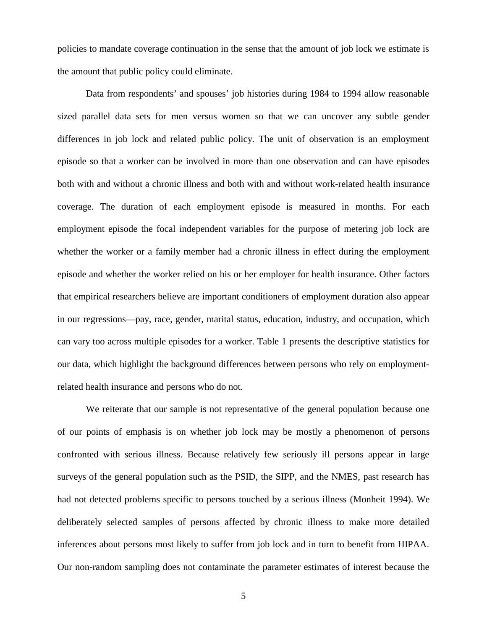policies to mandate coverage continuation in the sense that the amount of job lock we estimate is the amount that public policy could eliminate.

Data from respondents' and spouses' job histories during 1984 to 1994 allow reasonable sized parallel data sets for men versus women so that we can uncover any subtle gender differences in job lock and related public policy. The unit of observation is an employment episode so that a worker can be involved in more than one observation and can have episodes both with and without a chronic illness and both with and without work-related health insurance coverage. The duration of each employment episode is measured in months. For each employment episode the focal independent variables for the purpose of metering job lock are whether the worker or a family member had a chronic illness in effect during the employment episode and whether the worker relied on his or her employer for health insurance. Other factors that empirical researchers believe are important conditioners of employment duration also appear in our regressions—pay, race, gender, marital status, education, industry, and occupation, which can vary too across multiple episodes for a worker. Table 1 presents the descriptive statistics for our data, which highlight the background differences between persons who rely on employmentrelated health insurance and persons who do not.

We reiterate that our sample is not representative of the general population because one of our points of emphasis is on whether job lock may be mostly a phenomenon of persons confronted with serious illness. Because relatively few seriously ill persons appear in large surveys of the general population such as the PSID, the SIPP, and the NMES, past research has had not detected problems specific to persons touched by a serious illness (Monheit 1994). We deliberately selected samples of persons affected by chronic illness to make more detailed inferences about persons most likely to suffer from job lock and in turn to benefit from HIPAA. Our non-random sampling does not contaminate the parameter estimates of interest because the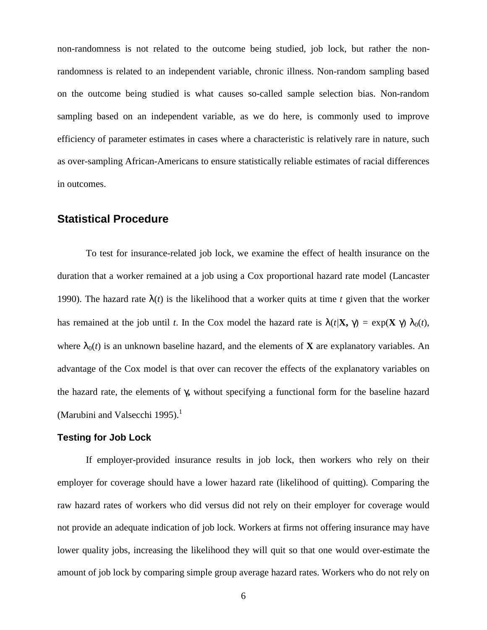non-randomness is not related to the outcome being studied, job lock, but rather the nonrandomness is related to an independent variable, chronic illness. Non-random sampling based on the outcome being studied is what causes so-called sample selection bias. Non-random sampling based on an independent variable, as we do here, is commonly used to improve efficiency of parameter estimates in cases where a characteristic is relatively rare in nature, such as over-sampling African-Americans to ensure statistically reliable estimates of racial differences in outcomes.

### **Statistical Procedure**

To test for insurance-related job lock, we examine the effect of health insurance on the duration that a worker remained at a job using a Cox proportional hazard rate model (Lancaster 1990). The hazard rate  $\lambda(t)$  is the likelihood that a worker quits at time *t* given that the worker has remained at the job until *t*. In the Cox model the hazard rate is  $\lambda(t/\mathbf{X}, \gamma) = \exp(\mathbf{X} \gamma) \lambda_0(t)$ , where  $\lambda_0(t)$  is an unknown baseline hazard, and the elements of **X** are explanatory variables. An advantage of the Cox model is that over can recover the effects of the explanatory variables on the hazard rate, the elements of γ**,** without specifying a functional form for the baseline hazard (Marubini and Valsecchi 1995). $<sup>1</sup>$ </sup>

#### **Testing for Job Lock**

If employer-provided insurance results in job lock, then workers who rely on their employer for coverage should have a lower hazard rate (likelihood of quitting). Comparing the raw hazard rates of workers who did versus did not rely on their employer for coverage would not provide an adequate indication of job lock. Workers at firms not offering insurance may have lower quality jobs, increasing the likelihood they will quit so that one would over-estimate the amount of job lock by comparing simple group average hazard rates. Workers who do not rely on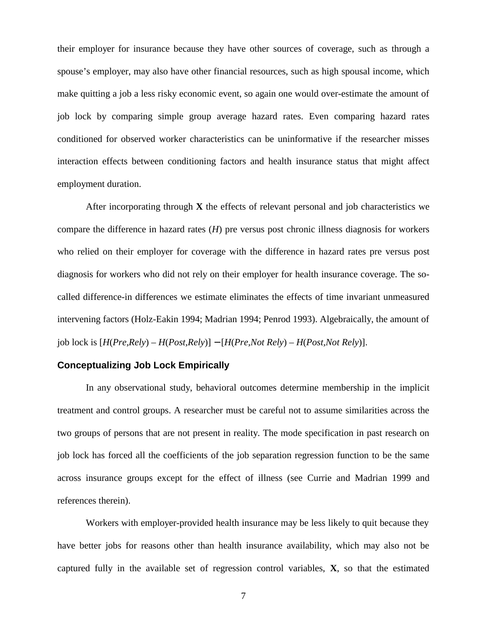their employer for insurance because they have other sources of coverage, such as through a spouse's employer, may also have other financial resources, such as high spousal income, which make quitting a job a less risky economic event, so again one would over-estimate the amount of job lock by comparing simple group average hazard rates. Even comparing hazard rates conditioned for observed worker characteristics can be uninformative if the researcher misses interaction effects between conditioning factors and health insurance status that might affect employment duration.

After incorporating through **X** the effects of relevant personal and job characteristics we compare the difference in hazard rates (*H*) pre versus post chronic illness diagnosis for workers who relied on their employer for coverage with the difference in hazard rates pre versus post diagnosis for workers who did not rely on their employer for health insurance coverage. The socalled difference-in differences we estimate eliminates the effects of time invariant unmeasured intervening factors (Holz-Eakin 1994; Madrian 1994; Penrod 1993). Algebraically, the amount of job lock is [*H*(*Pre,Rely*) – *H*(*Post,Rely*)] − [*H*(*Pre,Not Rely*) – *H*(*Post,Not Rely*)].

### **Conceptualizing Job Lock Empirically**

In any observational study, behavioral outcomes determine membership in the implicit treatment and control groups. A researcher must be careful not to assume similarities across the two groups of persons that are not present in reality. The mode specification in past research on job lock has forced all the coefficients of the job separation regression function to be the same across insurance groups except for the effect of illness (see Currie and Madrian 1999 and references therein).

Workers with employer-provided health insurance may be less likely to quit because they have better jobs for reasons other than health insurance availability, which may also not be captured fully in the available set of regression control variables, **X**, so that the estimated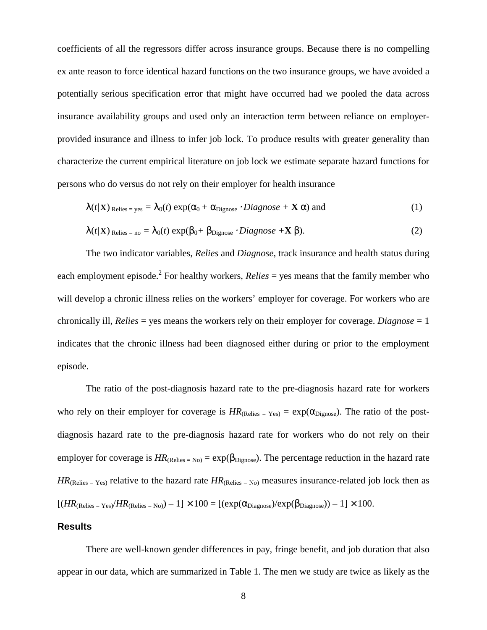coefficients of all the regressors differ across insurance groups. Because there is no compelling ex ante reason to force identical hazard functions on the two insurance groups, we have avoided a potentially serious specification error that might have occurred had we pooled the data across insurance availability groups and used only an interaction term between reliance on employerprovided insurance and illness to infer job lock. To produce results with greater generality than characterize the current empirical literature on job lock we estimate separate hazard functions for persons who do versus do not rely on their employer for health insurance

$$
\lambda(t/\mathbf{X})_{\text{Relies}} = \mathbf{y}_{\text{es}} = \lambda_0(t) \exp(\alpha_0 + \alpha_{\text{Dignose}} \cdot \text{Diagnose} + \mathbf{X} \alpha) \text{ and } \tag{1}
$$

$$
\lambda(t/\mathbf{X})_{\text{Relies = no}} = \lambda_0(t) \exp(\beta_0 + \beta_{\text{Dignose}} \cdot \text{Diagnose} + \mathbf{X} \beta). \tag{2}
$$

The two indicator variables, *Relies* and *Diagnose*, track insurance and health status during each employment episode.<sup>2</sup> For healthy workers, *Relies* = yes means that the family member who will develop a chronic illness relies on the workers' employer for coverage. For workers who are chronically ill, *Relies* = yes means the workers rely on their employer for coverage. *Diagnose* = 1 indicates that the chronic illness had been diagnosed either during or prior to the employment episode.

The ratio of the post-diagnosis hazard rate to the pre-diagnosis hazard rate for workers who rely on their employer for coverage is  $HR_{(Relies = Yes)} = \exp(\alpha_{Dienose})$ . The ratio of the postdiagnosis hazard rate to the pre-diagnosis hazard rate for workers who do not rely on their employer for coverage is  $HR_{(Relies = No)} = \exp(\beta_{Dignose})$ . The percentage reduction in the hazard rate  $HR_{(Relies = Yes)}$  relative to the hazard rate  $HR_{(Relies = No)}$  measures insurance-related job lock then as  $[(HR_{(Relies = Yes)}/HR_{(Relies = No)}) - 1] \times 100 = [(exp(\alpha_{Diagnose})/exp(\beta_{Diagnose})) - 1] \times 100$ .

#### **Results**

There are well-known gender differences in pay, fringe benefit, and job duration that also appear in our data, which are summarized in Table 1. The men we study are twice as likely as the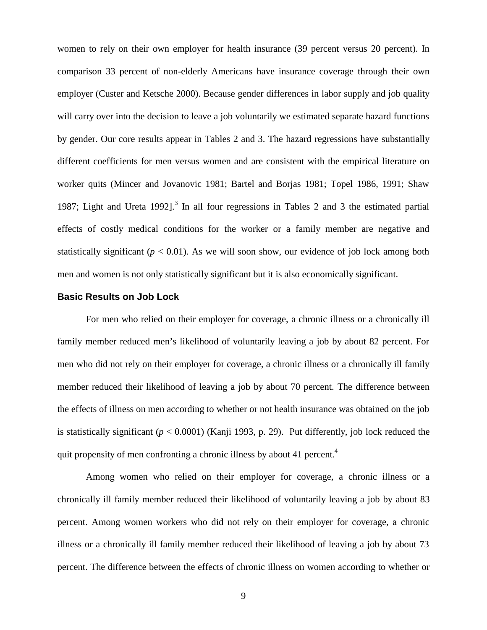women to rely on their own employer for health insurance (39 percent versus 20 percent). In comparison 33 percent of non-elderly Americans have insurance coverage through their own employer (Custer and Ketsche 2000). Because gender differences in labor supply and job quality will carry over into the decision to leave a job voluntarily we estimated separate hazard functions by gender. Our core results appear in Tables 2 and 3. The hazard regressions have substantially different coefficients for men versus women and are consistent with the empirical literature on worker quits (Mincer and Jovanovic 1981; Bartel and Borjas 1981; Topel 1986, 1991; Shaw 1987; Light and Ureta 1992].<sup>3</sup> In all four regressions in Tables 2 and 3 the estimated partial effects of costly medical conditions for the worker or a family member are negative and statistically significant ( $p < 0.01$ ). As we will soon show, our evidence of job lock among both men and women is not only statistically significant but it is also economically significant.

#### **Basic Results on Job Lock**

For men who relied on their employer for coverage, a chronic illness or a chronically ill family member reduced men's likelihood of voluntarily leaving a job by about 82 percent. For men who did not rely on their employer for coverage, a chronic illness or a chronically ill family member reduced their likelihood of leaving a job by about 70 percent. The difference between the effects of illness on men according to whether or not health insurance was obtained on the job is statistically significant  $(p < 0.0001)$  (Kanji 1993, p. 29). Put differently, job lock reduced the quit propensity of men confronting a chronic illness by about 41 percent.<sup>4</sup>

Among women who relied on their employer for coverage, a chronic illness or a chronically ill family member reduced their likelihood of voluntarily leaving a job by about 83 percent. Among women workers who did not rely on their employer for coverage, a chronic illness or a chronically ill family member reduced their likelihood of leaving a job by about 73 percent. The difference between the effects of chronic illness on women according to whether or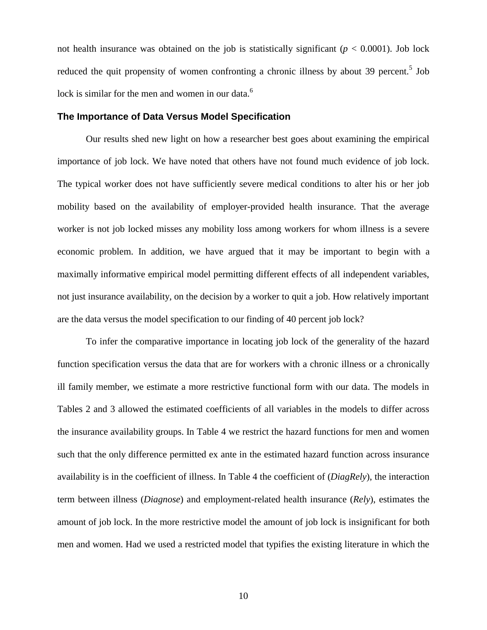not health insurance was obtained on the job is statistically significant  $(p < 0.0001)$ . Job lock reduced the quit propensity of women confronting a chronic illness by about 39 percent.<sup>5</sup> Job lock is similar for the men and women in our data.<sup>6</sup>

#### **The Importance of Data Versus Model Specification**

Our results shed new light on how a researcher best goes about examining the empirical importance of job lock. We have noted that others have not found much evidence of job lock. The typical worker does not have sufficiently severe medical conditions to alter his or her job mobility based on the availability of employer-provided health insurance. That the average worker is not job locked misses any mobility loss among workers for whom illness is a severe economic problem. In addition, we have argued that it may be important to begin with a maximally informative empirical model permitting different effects of all independent variables, not just insurance availability, on the decision by a worker to quit a job. How relatively important are the data versus the model specification to our finding of 40 percent job lock?

To infer the comparative importance in locating job lock of the generality of the hazard function specification versus the data that are for workers with a chronic illness or a chronically ill family member, we estimate a more restrictive functional form with our data. The models in Tables 2 and 3 allowed the estimated coefficients of all variables in the models to differ across the insurance availability groups. In Table 4 we restrict the hazard functions for men and women such that the only difference permitted ex ante in the estimated hazard function across insurance availability is in the coefficient of illness. In Table 4 the coefficient of (*DiagRely*), the interaction term between illness (*Diagnose*) and employment-related health insurance (*Rely*), estimates the amount of job lock. In the more restrictive model the amount of job lock is insignificant for both men and women. Had we used a restricted model that typifies the existing literature in which the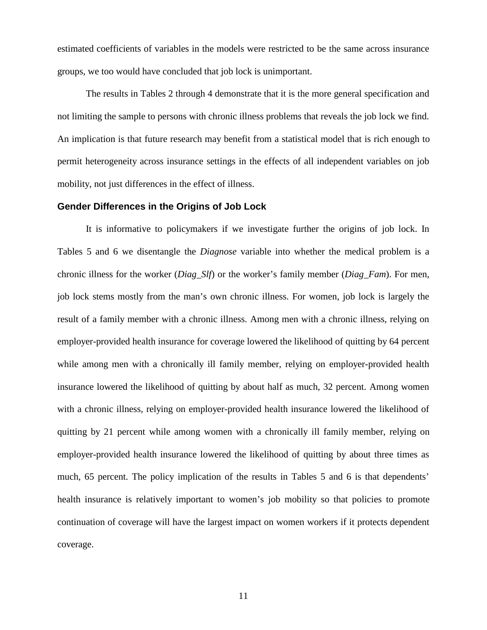estimated coefficients of variables in the models were restricted to be the same across insurance groups, we too would have concluded that job lock is unimportant.

The results in Tables 2 through 4 demonstrate that it is the more general specification and not limiting the sample to persons with chronic illness problems that reveals the job lock we find. An implication is that future research may benefit from a statistical model that is rich enough to permit heterogeneity across insurance settings in the effects of all independent variables on job mobility, not just differences in the effect of illness.

#### **Gender Differences in the Origins of Job Lock**

It is informative to policymakers if we investigate further the origins of job lock. In Tables 5 and 6 we disentangle the *Diagnose* variable into whether the medical problem is a chronic illness for the worker (*Diag\_Slf*) or the worker's family member (*Diag\_Fam*). For men, job lock stems mostly from the man's own chronic illness. For women, job lock is largely the result of a family member with a chronic illness. Among men with a chronic illness, relying on employer-provided health insurance for coverage lowered the likelihood of quitting by 64 percent while among men with a chronically ill family member, relying on employer-provided health insurance lowered the likelihood of quitting by about half as much, 32 percent. Among women with a chronic illness, relying on employer-provided health insurance lowered the likelihood of quitting by 21 percent while among women with a chronically ill family member, relying on employer-provided health insurance lowered the likelihood of quitting by about three times as much, 65 percent. The policy implication of the results in Tables 5 and 6 is that dependents' health insurance is relatively important to women's job mobility so that policies to promote continuation of coverage will have the largest impact on women workers if it protects dependent coverage.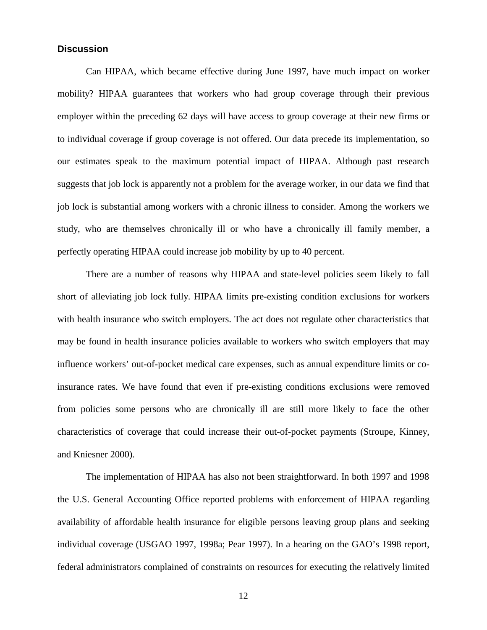### **Discussion**

Can HIPAA, which became effective during June 1997, have much impact on worker mobility? HIPAA guarantees that workers who had group coverage through their previous employer within the preceding 62 days will have access to group coverage at their new firms or to individual coverage if group coverage is not offered. Our data precede its implementation, so our estimates speak to the maximum potential impact of HIPAA. Although past research suggests that job lock is apparently not a problem for the average worker, in our data we find that job lock is substantial among workers with a chronic illness to consider. Among the workers we study, who are themselves chronically ill or who have a chronically ill family member, a perfectly operating HIPAA could increase job mobility by up to 40 percent.

There are a number of reasons why HIPAA and state-level policies seem likely to fall short of alleviating job lock fully. HIPAA limits pre-existing condition exclusions for workers with health insurance who switch employers. The act does not regulate other characteristics that may be found in health insurance policies available to workers who switch employers that may influence workers' out-of-pocket medical care expenses, such as annual expenditure limits or coinsurance rates. We have found that even if pre-existing conditions exclusions were removed from policies some persons who are chronically ill are still more likely to face the other characteristics of coverage that could increase their out-of-pocket payments (Stroupe, Kinney, and Kniesner 2000).

The implementation of HIPAA has also not been straightforward. In both 1997 and 1998 the U.S. General Accounting Office reported problems with enforcement of HIPAA regarding availability of affordable health insurance for eligible persons leaving group plans and seeking individual coverage (USGAO 1997, 1998a; Pear 1997). In a hearing on the GAO's 1998 report, federal administrators complained of constraints on resources for executing the relatively limited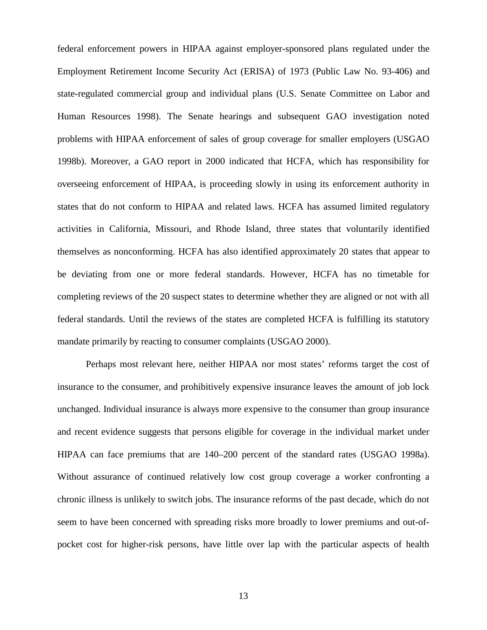federal enforcement powers in HIPAA against employer-sponsored plans regulated under the Employment Retirement Income Security Act (ERISA) of 1973 (Public Law No. 93-406) and state-regulated commercial group and individual plans (U.S. Senate Committee on Labor and Human Resources 1998). The Senate hearings and subsequent GAO investigation noted problems with HIPAA enforcement of sales of group coverage for smaller employers (USGAO 1998b). Moreover, a GAO report in 2000 indicated that HCFA, which has responsibility for overseeing enforcement of HIPAA, is proceeding slowly in using its enforcement authority in states that do not conform to HIPAA and related laws. HCFA has assumed limited regulatory activities in California, Missouri, and Rhode Island, three states that voluntarily identified themselves as nonconforming. HCFA has also identified approximately 20 states that appear to be deviating from one or more federal standards. However, HCFA has no timetable for completing reviews of the 20 suspect states to determine whether they are aligned or not with all federal standards. Until the reviews of the states are completed HCFA is fulfilling its statutory mandate primarily by reacting to consumer complaints (USGAO 2000).

Perhaps most relevant here, neither HIPAA nor most states' reforms target the cost of insurance to the consumer, and prohibitively expensive insurance leaves the amount of job lock unchanged. Individual insurance is always more expensive to the consumer than group insurance and recent evidence suggests that persons eligible for coverage in the individual market under HIPAA can face premiums that are 140–200 percent of the standard rates (USGAO 1998a). Without assurance of continued relatively low cost group coverage a worker confronting a chronic illness is unlikely to switch jobs. The insurance reforms of the past decade, which do not seem to have been concerned with spreading risks more broadly to lower premiums and out-ofpocket cost for higher-risk persons, have little over lap with the particular aspects of health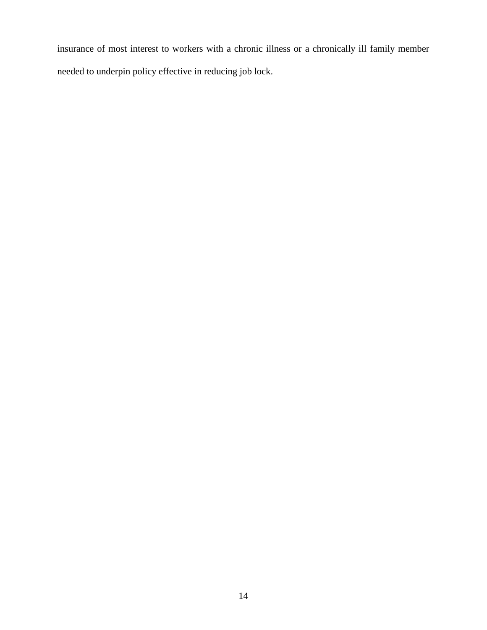insurance of most interest to workers with a chronic illness or a chronically ill family member needed to underpin policy effective in reducing job lock.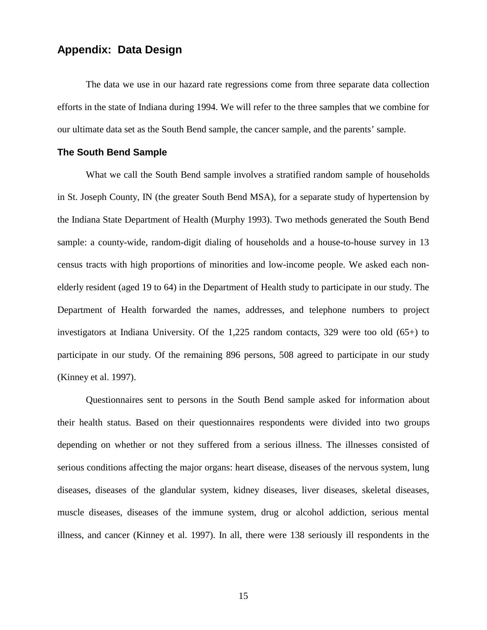# **Appendix: Data Design**

The data we use in our hazard rate regressions come from three separate data collection efforts in the state of Indiana during 1994. We will refer to the three samples that we combine for our ultimate data set as the South Bend sample, the cancer sample, and the parents' sample.

#### **The South Bend Sample**

What we call the South Bend sample involves a stratified random sample of households in St. Joseph County, IN (the greater South Bend MSA), for a separate study of hypertension by the Indiana State Department of Health (Murphy 1993). Two methods generated the South Bend sample: a county-wide, random-digit dialing of households and a house-to-house survey in 13 census tracts with high proportions of minorities and low-income people. We asked each nonelderly resident (aged 19 to 64) in the Department of Health study to participate in our study. The Department of Health forwarded the names, addresses, and telephone numbers to project investigators at Indiana University. Of the 1,225 random contacts, 329 were too old (65+) to participate in our study. Of the remaining 896 persons, 508 agreed to participate in our study (Kinney et al. 1997).

Questionnaires sent to persons in the South Bend sample asked for information about their health status. Based on their questionnaires respondents were divided into two groups depending on whether or not they suffered from a serious illness. The illnesses consisted of serious conditions affecting the major organs: heart disease, diseases of the nervous system, lung diseases, diseases of the glandular system, kidney diseases, liver diseases, skeletal diseases, muscle diseases, diseases of the immune system, drug or alcohol addiction, serious mental illness, and cancer (Kinney et al. 1997). In all, there were 138 seriously ill respondents in the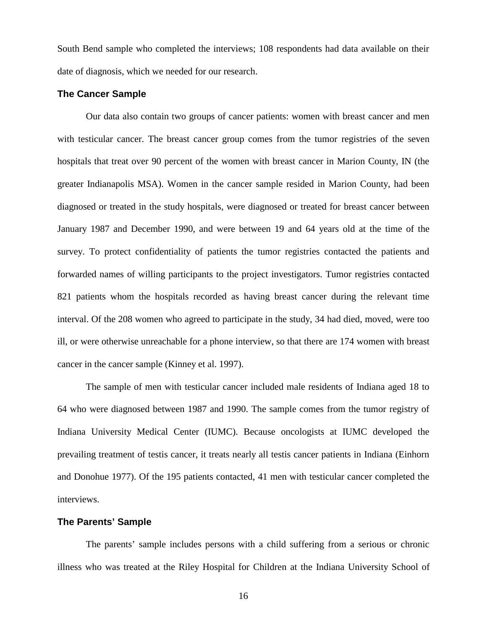South Bend sample who completed the interviews; 108 respondents had data available on their date of diagnosis, which we needed for our research.

#### **The Cancer Sample**

Our data also contain two groups of cancer patients: women with breast cancer and men with testicular cancer. The breast cancer group comes from the tumor registries of the seven hospitals that treat over 90 percent of the women with breast cancer in Marion County, IN (the greater Indianapolis MSA). Women in the cancer sample resided in Marion County, had been diagnosed or treated in the study hospitals, were diagnosed or treated for breast cancer between January 1987 and December 1990, and were between 19 and 64 years old at the time of the survey. To protect confidentiality of patients the tumor registries contacted the patients and forwarded names of willing participants to the project investigators. Tumor registries contacted 821 patients whom the hospitals recorded as having breast cancer during the relevant time interval. Of the 208 women who agreed to participate in the study, 34 had died, moved, were too ill, or were otherwise unreachable for a phone interview, so that there are 174 women with breast cancer in the cancer sample (Kinney et al. 1997).

The sample of men with testicular cancer included male residents of Indiana aged 18 to 64 who were diagnosed between 1987 and 1990. The sample comes from the tumor registry of Indiana University Medical Center (IUMC). Because oncologists at IUMC developed the prevailing treatment of testis cancer, it treats nearly all testis cancer patients in Indiana (Einhorn and Donohue 1977). Of the 195 patients contacted, 41 men with testicular cancer completed the interviews.

### **The Parents' Sample**

The parents' sample includes persons with a child suffering from a serious or chronic illness who was treated at the Riley Hospital for Children at the Indiana University School of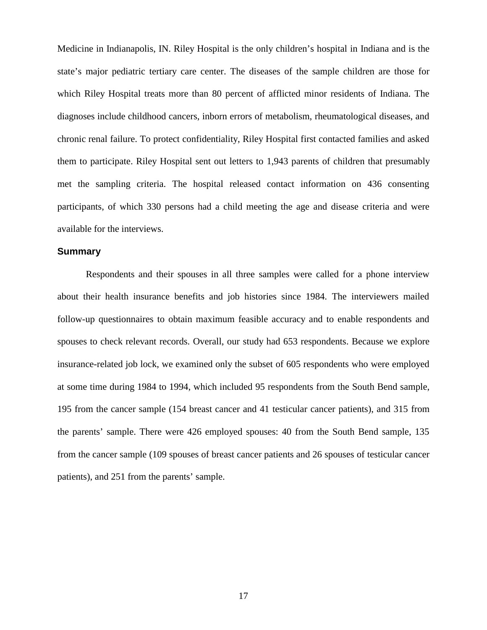Medicine in Indianapolis, IN. Riley Hospital is the only children's hospital in Indiana and is the state's major pediatric tertiary care center. The diseases of the sample children are those for which Riley Hospital treats more than 80 percent of afflicted minor residents of Indiana. The diagnoses include childhood cancers, inborn errors of metabolism, rheumatological diseases, and chronic renal failure. To protect confidentiality, Riley Hospital first contacted families and asked them to participate. Riley Hospital sent out letters to 1,943 parents of children that presumably met the sampling criteria. The hospital released contact information on 436 consenting participants, of which 330 persons had a child meeting the age and disease criteria and were available for the interviews.

#### **Summary**

Respondents and their spouses in all three samples were called for a phone interview about their health insurance benefits and job histories since 1984. The interviewers mailed follow-up questionnaires to obtain maximum feasible accuracy and to enable respondents and spouses to check relevant records. Overall, our study had 653 respondents. Because we explore insurance-related job lock, we examined only the subset of 605 respondents who were employed at some time during 1984 to 1994, which included 95 respondents from the South Bend sample, 195 from the cancer sample (154 breast cancer and 41 testicular cancer patients), and 315 from the parents' sample. There were 426 employed spouses: 40 from the South Bend sample, 135 from the cancer sample (109 spouses of breast cancer patients and 26 spouses of testicular cancer patients), and 251 from the parents' sample.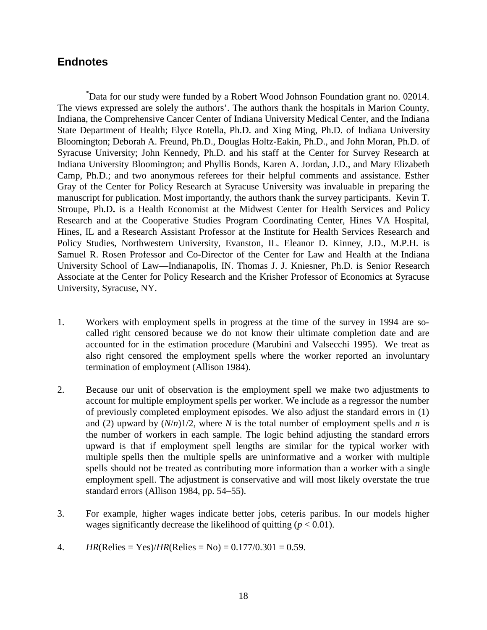### **Endnotes**

\* Data for our study were funded by a Robert Wood Johnson Foundation grant no. 02014. The views expressed are solely the authors'. The authors thank the hospitals in Marion County, Indiana, the Comprehensive Cancer Center of Indiana University Medical Center, and the Indiana State Department of Health; Elyce Rotella, Ph.D. and Xing Ming, Ph.D. of Indiana University Bloomington; Deborah A. Freund, Ph.D., Douglas Holtz-Eakin, Ph.D., and John Moran, Ph.D. of Syracuse University; John Kennedy, Ph.D. and his staff at the Center for Survey Research at Indiana University Bloomington; and Phyllis Bonds, Karen A. Jordan, J.D., and Mary Elizabeth Camp, Ph.D.; and two anonymous referees for their helpful comments and assistance. Esther Gray of the Center for Policy Research at Syracuse University was invaluable in preparing the manuscript for publication. Most importantly, the authors thank the survey participants. Kevin T. Stroupe, Ph.D**.** is a Health Economist at the Midwest Center for Health Services and Policy Research and at the Cooperative Studies Program Coordinating Center, Hines VA Hospital, Hines, IL and a Research Assistant Professor at the Institute for Health Services Research and Policy Studies, Northwestern University, Evanston, IL. Eleanor D. Kinney, J.D., M.P.H. is Samuel R. Rosen Professor and Co-Director of the Center for Law and Health at the Indiana University School of Law—Indianapolis, IN. Thomas J. J. Kniesner, Ph.D. is Senior Research Associate at the Center for Policy Research and the Krisher Professor of Economics at Syracuse University, Syracuse, NY.

- 1. Workers with employment spells in progress at the time of the survey in 1994 are socalled right censored because we do not know their ultimate completion date and are accounted for in the estimation procedure (Marubini and Valsecchi 1995). We treat as also right censored the employment spells where the worker reported an involuntary termination of employment (Allison 1984).
- 2. Because our unit of observation is the employment spell we make two adjustments to account for multiple employment spells per worker. We include as a regressor the number of previously completed employment episodes. We also adjust the standard errors in (1) and (2) upward by  $(N/n)1/2$ , where *N* is the total number of employment spells and *n* is the number of workers in each sample. The logic behind adjusting the standard errors upward is that if employment spell lengths are similar for the typical worker with multiple spells then the multiple spells are uninformative and a worker with multiple spells should not be treated as contributing more information than a worker with a single employment spell. The adjustment is conservative and will most likely overstate the true standard errors (Allison 1984, pp. 54–55).
- 3. For example, higher wages indicate better jobs, ceteris paribus. In our models higher wages significantly decrease the likelihood of quitting  $(p < 0.01)$ .
- 4. *HR*(Relies = Yes)/*HR*(Relies = No) =  $0.177/0.301 = 0.59$ .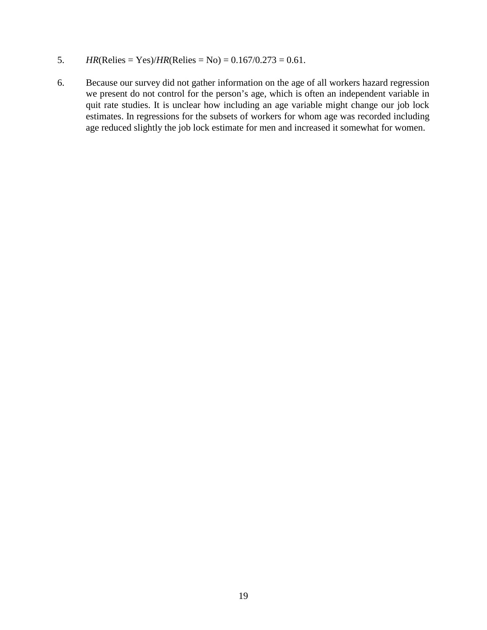- 5. *HR*(Relies = Yes)/*HR*(Relies = No) =  $0.167/0.273 = 0.61$ .
- 6. Because our survey did not gather information on the age of all workers hazard regression we present do not control for the person's age, which is often an independent variable in quit rate studies. It is unclear how including an age variable might change our job lock estimates. In regressions for the subsets of workers for whom age was recorded including age reduced slightly the job lock estimate for men and increased it somewhat for women.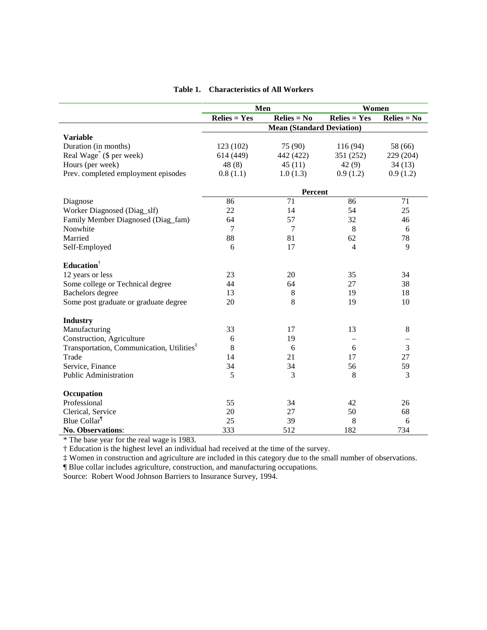|                                                       | Men            |                                  | Women                            |                          |
|-------------------------------------------------------|----------------|----------------------------------|----------------------------------|--------------------------|
|                                                       | $Relies = Yes$ | $Relies = No$                    | $\mathbf{Relies} = \mathbf{Yes}$ | $Relies = No$            |
|                                                       |                | <b>Mean (Standard Deviation)</b> |                                  |                          |
| <b>Variable</b>                                       |                |                                  |                                  |                          |
| Duration (in months)                                  | 123 (102)      | 75 (90)                          | 116(94)                          | 58 (66)                  |
| Real Wage <sup>*</sup> (\$ per week)                  | 614 (449)      | 442 (422)                        | 351 (252)                        | 229 (204)                |
| Hours (per week)                                      | 48(8)          | 45(11)                           | 42(9)                            | 34(13)                   |
| Prev. completed employment episodes                   | 0.8(1.1)       | 1.0(1.3)                         | 0.9(1.2)                         | 0.9(1.2)                 |
|                                                       |                | <b>Percent</b>                   |                                  |                          |
| Diagnose                                              | 86             | 71                               | 86                               | 71                       |
| Worker Diagnosed (Diag_slf)                           | 22             | 14                               | 54                               | 25                       |
| Family Member Diagnosed (Diag_fam)                    | 64             | 57                               | 32                               | 46                       |
| Nonwhite                                              | 7              | $\tau$                           | 8                                | 6                        |
| Married                                               | 88             | 81                               | 62                               | 78                       |
| Self-Employed                                         | 6              | 17                               | $\overline{4}$                   | 9                        |
| Education <sup>†</sup>                                |                |                                  |                                  |                          |
| 12 years or less                                      | 23             | 20                               | 35                               | 34                       |
| Some college or Technical degree                      | 44             | 64                               | 27                               | 38                       |
| Bachelors degree                                      | 13             | 8                                | 19                               | 18                       |
| Some post graduate or graduate degree                 | 20             | 8                                | 19                               | 10                       |
| <b>Industry</b>                                       |                |                                  |                                  |                          |
| Manufacturing                                         | 33             | 17                               | 13                               | $\,8\,$                  |
| Construction, Agriculture                             | 6              | 19                               |                                  | $\overline{\phantom{0}}$ |
| Transportation, Communication, Utilities <sup>‡</sup> | 8              | 6                                | 6                                | 3                        |
| Trade                                                 | 14             | 21                               | 17                               | 27                       |
| Service, Finance                                      | 34             | 34                               | 56                               | 59                       |
| <b>Public Administration</b>                          | 5              | 3                                | 8                                | 3                        |
| Occupation                                            |                |                                  |                                  |                          |
| Professional                                          | 55             | 34                               | 42                               | 26                       |
| Clerical, Service                                     | 20             | 27                               | 50                               | 68                       |
| Blue Collar <sup>1</sup>                              | 25             | 39                               | 8                                | 6                        |
| No. Observations:                                     | 333            | 512                              | 182                              | 734                      |

\* The base year for the real wage is 1983.

† Education is the highest level an individual had received at the time of the survey.

‡ Women in construction and agriculture are included in this category due to the small number of observations.

¶ Blue collar includes agriculture, construction, and manufacturing occupations.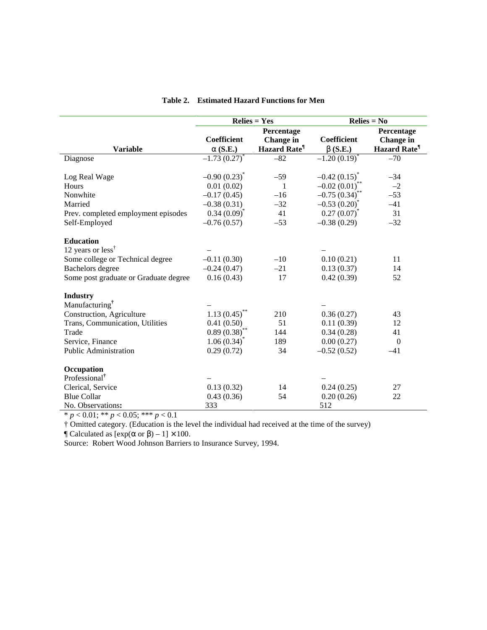|                                       | $Relies = Yes$     |                                 | $Relies = No$      |                          |
|---------------------------------------|--------------------|---------------------------------|--------------------|--------------------------|
|                                       |                    | Percentage                      |                    | Percentage               |
|                                       | <b>Coefficient</b> | Change in                       | <b>Coefficient</b> | <b>Change</b> in         |
| <b>Variable</b>                       | $\alpha$ (S.E.)    | <b>Hazard Rate</b> <sup>1</sup> | $\beta$ (S.E.)     | Hazard Rate <sup>¶</sup> |
| Diagnose                              | $-1.73(0.27)$      | $-82$                           | $-1.20(0.19)$      | $-70$                    |
|                                       |                    |                                 |                    |                          |
| Log Real Wage                         | $-0.90(0.23)^{*}$  | $-59$                           | $-0.42(0.15)^{*}$  | $-34$                    |
| Hours                                 | 0.01(0.02)         | $\mathbf{1}$                    | $-0.02(0.01)$ **   | $-2$                     |
| Nonwhite                              | $-0.17(0.45)$      | $-16$                           | $-0.75(0.34)^{**}$ | $-53$                    |
| Married                               | $-0.38(0.31)$      | $-32$                           | $-0.53(0.20)^{*}$  | $-41$                    |
| Prev. completed employment episodes   | $0.34(0.09)^{*}$   | 41                              | $0.27(0.07)^{*}$   | 31                       |
| Self-Employed                         | $-0.76(0.57)$      | $-53$                           | $-0.38(0.29)$      | $-32$                    |
|                                       |                    |                                 |                    |                          |
| <b>Education</b>                      |                    |                                 |                    |                          |
| 12 years or less <sup>†</sup>         |                    |                                 |                    |                          |
| Some college or Technical degree      | $-0.11(0.30)$      | $-10$                           | 0.10(0.21)         | 11                       |
| <b>Bachelors</b> degree               | $-0.24(0.47)$      | $-21$                           | 0.13(0.37)         | 14                       |
| Some post graduate or Graduate degree | 0.16(0.43)         | 17                              | 0.42(0.39)         | 52                       |
|                                       |                    |                                 |                    |                          |
| <b>Industry</b>                       |                    |                                 |                    |                          |
| Manufacturing <sup>†</sup>            |                    |                                 |                    |                          |
| Construction, Agriculture             | 1.13(0.45)         | 210                             | 0.36(0.27)         | 43                       |
| Trans, Communication, Utilities       | 0.41(0.50)         | 51                              | 0.11(0.39)         | 12                       |
| Trade                                 | $0.89(0.38)$ *     | 144                             | 0.34(0.28)         | 41                       |
| Service, Finance                      | $1.06(0.34)^{*}$   | 189                             | 0.00(0.27)         | $\overline{0}$           |
| Public Administration                 | 0.29(0.72)         | 34                              | $-0.52(0.52)$      | $-41$                    |
|                                       |                    |                                 |                    |                          |
| Occupation                            |                    |                                 |                    |                          |
| Professional <sup>†</sup>             |                    |                                 |                    |                          |
| Clerical, Service                     | 0.13(0.32)         | 14                              | 0.24(0.25)         | 27                       |
| <b>Blue Collar</b>                    | 0.43(0.36)         | 54                              | 0.20(0.26)         | 22                       |
| No. Observations:                     | 333                |                                 | 512                |                          |

| <b>Table 2.</b> Estimated Hazard Functions for Men |
|----------------------------------------------------|
|----------------------------------------------------|

\* *p* < 0.01; \*\* *p* < 0.05; \*\*\* *p* < 0.1

† Omitted category. (Education is the level the individual had received at the time of the survey)

 $\text{T}$  Calculated as  $[\exp(\alpha \text{ or } \beta) - 1] \times 100$ .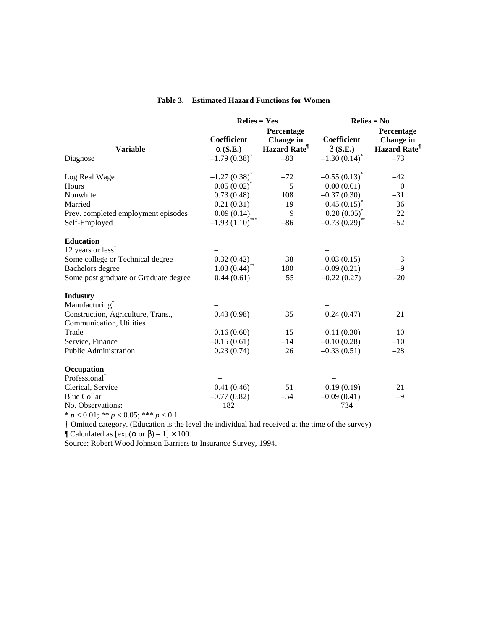|                                                  | $Relies = Yes$             |                    | $Relies = No$     |                    |
|--------------------------------------------------|----------------------------|--------------------|-------------------|--------------------|
|                                                  |                            | Percentage         |                   | Percentage         |
|                                                  | <b>Coefficient</b>         | Change in          | Coefficient       | <b>Change</b> in   |
| <b>Variable</b>                                  | $\alpha$ (S.E.)            | <b>Hazard Rate</b> | $\beta$ (S.E.)    | <b>Hazard Rate</b> |
| Diagnose                                         | $-1.79(0.38)$ <sup>*</sup> | $-83$              | $-1.30(0.14)$     | $-73$              |
|                                                  |                            |                    |                   |                    |
| Log Real Wage                                    | $-1.27(0.38)^{*}$          | $-72$              | $-0.55(0.13)^{*}$ | $-42$              |
| Hours                                            | $0.05(0.02)^{*}$           | 5                  | 0.00(0.01)        | $\overline{0}$     |
| Nonwhite                                         | 0.73(0.48)                 | 108                | $-0.37(0.30)$     | $-31$              |
| Married                                          | $-0.21(0.31)$              | $-19$              | $-0.45(0.15)^{*}$ | $-36$              |
| Prev. completed employment episodes              | 0.09(0.14)                 | 9                  | $0.20(0.05)^{*}$  | $22\,$             |
| Self-Employed                                    | $-1.93(1.10)^{***}$        | $-86$              | $-0.73(0.29)$ *   | $-52$              |
|                                                  |                            |                    |                   |                    |
| <b>Education</b>                                 |                            |                    |                   |                    |
| 12 years or less <sup><math>\dagger</math></sup> |                            |                    |                   |                    |
| Some college or Technical degree                 | 0.32(0.42)                 | 38                 | $-0.03(0.15)$     | $-3$               |
| <b>Bachelors</b> degree                          | $1.03(0.44)^{*}$           | 180                | $-0.09(0.21)$     | $-9$               |
| Some post graduate or Graduate degree            | 0.44(0.61)                 | 55                 | $-0.22(0.27)$     | $-20$              |
|                                                  |                            |                    |                   |                    |
| <b>Industry</b>                                  |                            |                    |                   |                    |
| Manufacturing <sup>†</sup>                       |                            |                    |                   |                    |
| Construction, Agriculture, Trans.,               | $-0.43(0.98)$              | $-35$              | $-0.24(0.47)$     | $-21$              |
| Communication, Utilities                         |                            |                    |                   |                    |
| Trade                                            | $-0.16(0.60)$              | $-15$              | $-0.11(0.30)$     | $-10$              |
| Service, Finance                                 | $-0.15(0.61)$              | $-14$              | $-0.10(0.28)$     | $-10$              |
| <b>Public Administration</b>                     | 0.23(0.74)                 | 26                 | $-0.33(0.51)$     | $-28$              |
| Occupation                                       |                            |                    |                   |                    |
| Professional <sup>†</sup>                        |                            |                    |                   |                    |
| Clerical, Service                                | 0.41(0.46)                 | 51                 | 0.19(0.19)        | 21                 |
| <b>Blue Collar</b>                               | $-0.77(0.82)$              | $-54$              | $-0.09(0.41)$     | $-9$               |
| No. Observations:                                | 182                        |                    | 734               |                    |
|                                                  |                            |                    |                   |                    |

#### **Table 3. Estimated Hazard Functions for Women**

\* *p* < 0.01; \*\* *p* < 0.05; \*\*\* *p* < 0.1

† Omitted category. (Education is the level the individual had received at the time of the survey)

 $\text{T}$  Calculated as  $[\exp(\alpha \text{ or } \beta) - 1] \times 100$ .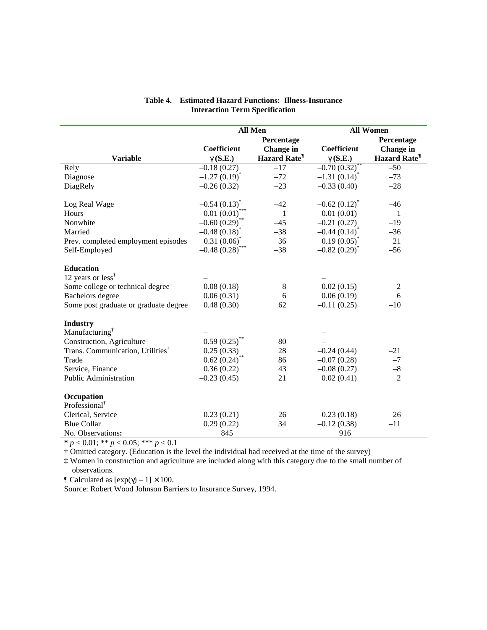|                                              | All Men                      |                    | <b>All Women</b>         |                                 |
|----------------------------------------------|------------------------------|--------------------|--------------------------|---------------------------------|
|                                              |                              | Percentage         |                          | Percentage                      |
|                                              | Coefficient                  | Change in          | Coefficient              | Change in                       |
| <b>Variable</b>                              | $\gamma$ (S.E.)              | <b>Hazard Rate</b> | $\gamma$ (S.E.)          | <b>Hazard Rate</b> <sup>1</sup> |
| Rely                                         | $-0.18(0.27)$                | $-17$              | $-0.70(0.32)^{*}$        | $-50$                           |
| Diagnose                                     | $-1.27(0.19)^{*}$            | $-72$              | $-1.31(0.14)^{*}$        | $-73$                           |
| DiagRely                                     | $-0.26(0.32)$                | $-23$              | $-0.33(0.40)$            | $-28$                           |
|                                              |                              |                    |                          |                                 |
| Log Real Wage                                | $-0.54(0.13)$ <sup>*</sup>   | $-42$              | $-0.62(0.12)^{^{\circ}}$ | $-46$                           |
| Hours                                        | $-0.01(0.01)^{^{\circ}}$     | $-1$               | 0.01(0.01)               | -1                              |
| Nonwhite                                     | $-0.60(0.29)^{**}$           | $-45$              | $-0.21(0.27)$            | $-19$                           |
| Married                                      | $-0.48(0.18)$ <sup>*</sup>   | $-38$              | $-0.44(0.14)^{*}$        | $-36$                           |
| Prev. completed employment episodes          | 0.31(0.06)                   | 36                 | $0.19(0.05)^{*}$         | 21                              |
| Self-Employed                                | $-0.48(0.28)^{***}$          | $-38$              | $-0.82(0.29)^{*}$        | $-56$                           |
|                                              |                              |                    |                          |                                 |
| <b>Education</b>                             |                              |                    |                          |                                 |
| 12 years or less <sup>†</sup>                |                              |                    |                          |                                 |
| Some college or technical degree             | 0.08(0.18)                   | $\,8\,$            | 0.02(0.15)               | $\overline{2}$                  |
| Bachelors degree                             | 0.06(0.31)                   | 6                  | 0.06(0.19)               | 6                               |
| Some post graduate or graduate degree        | 0.48(0.30)                   | 62                 | $-0.11(0.25)$            | $-10$                           |
| <b>Industry</b>                              |                              |                    |                          |                                 |
| Manufacturing <sup>†</sup>                   |                              |                    |                          |                                 |
| Construction, Agriculture                    | $0.59(0.25)$ **              | 80                 |                          |                                 |
| Trans. Communication, Utilities <sup>‡</sup> | 0.25(0.33)                   | 28                 | $-0.24(0.44)$            | $-21$                           |
| Trade                                        | $0.62\left(0.24\right)^{**}$ | 86                 | $-0.07(0.28)$            | $-7$                            |
| Service, Finance                             | 0.36(0.22)                   | 43                 | $-0.08(0.27)$            | $-8\,$                          |
| <b>Public Administration</b>                 | $-0.23(0.45)$                | 21                 | 0.02(0.41)               | $\overline{2}$                  |
|                                              |                              |                    |                          |                                 |
| Occupation                                   |                              |                    |                          |                                 |
| Professional <sup>†</sup>                    |                              |                    |                          |                                 |
| Clerical, Service                            | 0.23(0.21)                   | 26                 | 0.23(0.18)               | 26                              |
| <b>Blue Collar</b>                           | 0.29(0.22)                   | 34                 | $-0.12(0.38)$            | $-11$                           |
| No. Observations:                            | 845                          |                    | 916                      |                                 |

#### **Table 4. Estimated Hazard Functions: Illness-Insurance Interaction Term Specification**

**\*** *p* < 0.01; \*\* *p* < 0.05; \*\*\* *p* < 0.1

† Omitted category. (Education is the level the individual had received at the time of the survey)

‡ Women in construction and agriculture are included along with this category due to the small number of observations.

 $\text{\degree}$  Calculated as  $[\exp(\gamma) - 1] \times 100$ .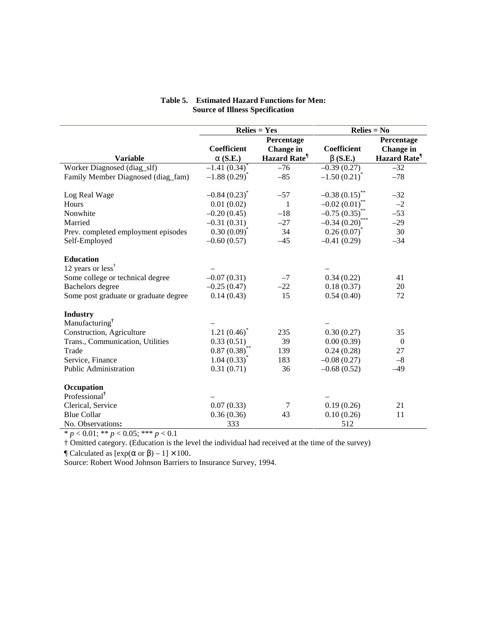|                                         | $\mathbf{Relies} = \mathbf{Yes}$ |                    | $Relies = No$       |                    |
|-----------------------------------------|----------------------------------|--------------------|---------------------|--------------------|
|                                         |                                  | Percentage         |                     | Percentage         |
|                                         | <b>Coefficient</b>               | Change in          | <b>Coefficient</b>  | Change in          |
| <b>Variable</b>                         | $\alpha$ (S.E.)                  | <b>Hazard Rate</b> | $\beta$ (S.E.)      | <b>Hazard Rate</b> |
| Worker Diagnosed (diag_slf)             | $-1.41(0.34)$ <sup>*</sup>       | $-76$              | $-0.39(0.27)$       | $-32$              |
| Family Member Diagnosed (diag_fam)      | $-1.88(0.29)^{*}$                | $-85$              | $-1.50(0.21)^{*}$   | $-78$              |
| Log Real Wage                           | $-0.84(0.23)^{*}$                | $-57$              | $-0.38(0.15)$ **    | $-32$              |
| Hours                                   | 0.01(0.02)                       | $\mathbf{1}$       | $-0.02(0.01)$ **    | $-2$               |
| Nonwhite                                | $-0.20(0.45)$                    | $-18$              | $-0.75(0.35)$       | $-53$              |
| Married                                 | $-0.31(0.31)$                    | $-27$              | $-0.34(0.20)^{***}$ | $-29$              |
| Prev. completed employment episodes     | $0.30(0.09)^{*}$                 | 34                 | $0.26(0.07)^{*}$    | 30                 |
| Self-Employed                           | $-0.60(0.57)$                    | $-45$              | $-0.41(0.29)$       | $-34$              |
| <b>Education</b><br>12 years or $less†$ |                                  |                    |                     |                    |
| Some college or technical degree        | $-0.07(0.31)$                    | $-7$               | 0.34(0.22)          | 41                 |
| <b>Bachelors</b> degree                 | $-0.25(0.47)$                    | $-22$              | 0.18(0.37)          | 20                 |
| Some post graduate or graduate degree   | 0.14(0.43)                       | 15                 | 0.54(0.40)          | 72                 |
| <b>Industry</b>                         |                                  |                    |                     |                    |
| Manufacturing <sup>†</sup>              |                                  |                    |                     |                    |
| Construction, Agriculture               | $1.21(0.46)^{*}$                 | 235                | 0.30(0.27)          | 35                 |
| Trans., Communication, Utilities        | 0.33(0.51)                       | 39                 | 0.00(0.39)          | $\theta$           |
| Trade                                   | $0.87(0.38)^{*}$                 | 139                | 0.24(0.28)          | 27                 |
| Service, Finance                        | $1.04(0.33)^{*}$                 | 183                | $-0.08(0.27)$       | $-8$               |
| <b>Public Administration</b>            | 0.31(0.71)                       | 36                 | $-0.68(0.52)$       | $-49$              |
| Occupation                              |                                  |                    |                     |                    |
| Professional <sup>†</sup>               |                                  |                    |                     |                    |
| Clerical, Service                       | 0.07(0.33)                       | 7                  | 0.19(0.26)          | 21                 |
| <b>Blue Collar</b>                      | 0.36(0.36)                       | 43                 | 0.10(0.26)          | 11                 |
| No. Observations:                       | 333                              |                    | 512                 |                    |

#### **Table 5. Estimated Hazard Functions for Men: Source of Illness Specification**

\* *p* < 0.01; \*\* *p* < 0.05; \*\*\* *p* < 0.1

† Omitted category. (Education is the level the individual had received at the time of the survey)

 $\mathbb{I}$  Calculated as  $[\exp(\alpha \text{ or } \beta) - 1] \times 100$ .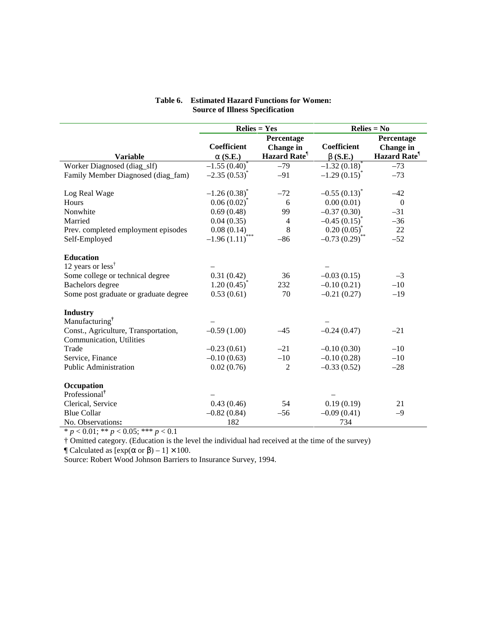|                                       | $\mathbf{Relies} = \mathbf{Yes}$ |                                 | $Relies = No$              |                    |
|---------------------------------------|----------------------------------|---------------------------------|----------------------------|--------------------|
|                                       |                                  | Percentage                      |                            | Percentage         |
|                                       | <b>Coefficient</b>               | Change in                       | Coefficient                | <b>Change</b> in   |
| <b>Variable</b>                       | $\alpha$ (S.E.)                  | <b>Hazard Rate</b> <sup>1</sup> | $\beta$ (S.E.)             | <b>Hazard Rate</b> |
| Worker Diagnosed (diag_slf)           | $-1.55(0.40)$ <sup>*</sup>       | $-79$                           | $-1.32(0.18)$ <sup>*</sup> | $-73$              |
| Family Member Diagnosed (diag_fam)    | $-2.35(0.53)^{*}$                | $-91$                           | $-1.29(0.15)^{*}$          | $-73$              |
| Log Real Wage                         | $-1.26(0.38)^{*}$                | $-72$                           | $-0.55(0.13)^{*}$          | $-42$              |
| Hours                                 | $0.06(0.02)^{*}$                 | 6                               | 0.00(0.01)                 | $\mathbf{0}$       |
| Nonwhite                              | 0.69(0.48)                       | 99                              | $-0.37(0.30)$              | $-31$              |
| Married                               | 0.04(0.35)                       | $\overline{4}$                  | $-0.45(0.15)^{*}$          | $-36$              |
| Prev. completed employment episodes   | 0.08(0.14)                       | 8                               | $0.20(0.05)^{*}$           | 22                 |
| Self-Employed                         | $-1.96(1.11)$                    | $-86$                           | $-0.73(0.29)^{*}$          | $-52$              |
| <b>Education</b>                      |                                  |                                 |                            |                    |
| 12 years or $less†$                   |                                  |                                 |                            |                    |
| Some college or technical degree      | 0.31(0.42)                       | 36                              | $-0.03(0.15)$              | $-3$               |
| <b>Bachelors</b> degree               | $1.20(0.45)^{*}$                 | 232                             | $-0.10(0.21)$              | $-10$              |
| Some post graduate or graduate degree | 0.53(0.61)                       | 70                              | $-0.21(0.27)$              | $-19$              |
| <b>Industry</b>                       |                                  |                                 |                            |                    |
| Manufacturing <sup>†</sup>            |                                  |                                 |                            |                    |
| Const., Agriculture, Transportation,  | $-0.59(1.00)$                    | $-45$                           | $-0.24(0.47)$              | $-21$              |
| Communication, Utilities              |                                  |                                 |                            |                    |
| Trade                                 | $-0.23(0.61)$                    | $-21$                           | $-0.10(0.30)$              | $-10$              |
| Service, Finance                      | $-0.10(0.63)$                    | $-10$                           | $-0.10(0.28)$              | $-10$              |
| <b>Public Administration</b>          | 0.02(0.76)                       | $\overline{2}$                  | $-0.33(0.52)$              | $-28$              |
| Occupation                            |                                  |                                 |                            |                    |
| Professional <sup>†</sup>             |                                  |                                 |                            |                    |
| Clerical, Service                     | 0.43(0.46)                       | 54                              | 0.19(0.19)                 | 21                 |
| <b>Blue Collar</b>                    | $-0.82(0.84)$                    | $-56$                           | $-0.09(0.41)$              | $-9$               |
| No. Observations:                     | 182                              |                                 | 734                        |                    |

#### **Table 6. Estimated Hazard Functions for Women: Source of Illness Specification**

\* *p* < 0.01; \*\* *p* < 0.05; \*\*\* *p* < 0.1

† Omitted category. (Education is the level the individual had received at the time of the survey)

 $\mathcal{P}$  Calculated as  $[\exp(\alpha \text{ or } \beta) - 1] \times 100$ .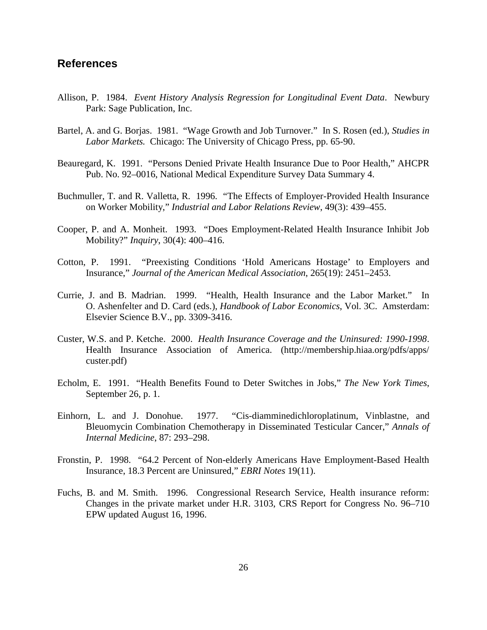### **References**

- Allison, P. 1984. *Event History Analysis Regression for Longitudinal Event Data*.Newbury Park: Sage Publication, Inc.
- Bartel, A. and G. Borjas. 1981. "Wage Growth and Job Turnover." In S. Rosen (ed.), *Studies in Labor Markets.* Chicago: The University of Chicago Press, pp. 65-90.
- Beauregard, K. 1991. "Persons Denied Private Health Insurance Due to Poor Health," AHCPR Pub. No. 92–0016, National Medical Expenditure Survey Data Summary 4.
- Buchmuller, T. and R. Valletta, R. 1996. "The Effects of Employer-Provided Health Insurance on Worker Mobility," *Industrial and Labor Relations Review*, 49(3): 439–455.
- Cooper, P. and A. Monheit. 1993. "Does Employment-Related Health Insurance Inhibit Job Mobility?" *Inquiry*, 30(4): 400–416.
- Cotton, P. 1991. "Preexisting Conditions 'Hold Americans Hostage' to Employers and Insurance," *Journal of the American Medical Association*, 265(19): 2451–2453.
- Currie, J. and B. Madrian. 1999. "Health, Health Insurance and the Labor Market." In O. Ashenfelter and D. Card (eds.), *Handbook of Labor Economics*, Vol. 3C. Amsterdam: Elsevier Science B.V., pp. 3309-3416.
- Custer, W.S. and P. Ketche. 2000. *Health Insurance Coverage and the Uninsured: 1990-1998*. Health Insurance Association of America. (http://membership.hiaa.org/pdfs/apps/ custer.pdf)
- Echolm, E. 1991. "Health Benefits Found to Deter Switches in Jobs," *The New York Times*, September 26, p. 1.
- Einhorn, L. and J. Donohue. 1977. "Cis-diamminedichloroplatinum, Vinblastne, and Bleuomycin Combination Chemotherapy in Disseminated Testicular Cancer," *Annals of Internal Medicine*, 87: 293–298.
- Fronstin, P. 1998. "64.2 Percent of Non-elderly Americans Have Employment-Based Health Insurance, 18.3 Percent are Uninsured," *EBRI Notes* 19(11).
- Fuchs, B. and M. Smith. 1996. Congressional Research Service, Health insurance reform: Changes in the private market under H.R. 3103, CRS Report for Congress No. 96–710 EPW updated August 16, 1996.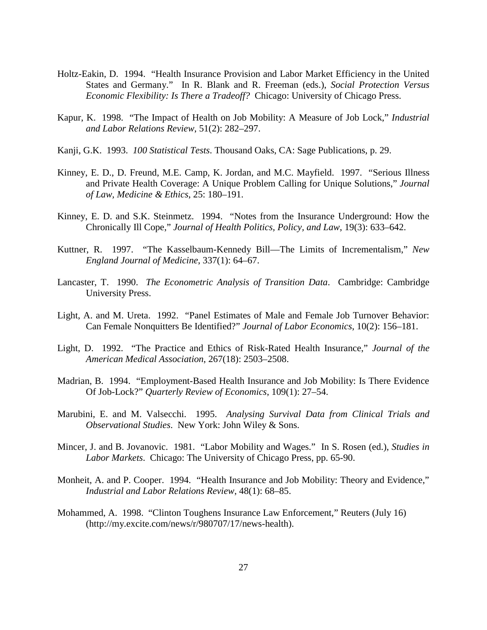- Holtz-Eakin, D. 1994. "Health Insurance Provision and Labor Market Efficiency in the United States and Germany." In R. Blank and R. Freeman (eds.), *Social Protection Versus Economic Flexibility: Is There a Tradeoff?* Chicago: University of Chicago Press.
- Kapur, K. 1998. "The Impact of Health on Job Mobility: A Measure of Job Lock," *Industrial and Labor Relations Review*, 51(2): 282–297.
- Kanji, G.K. 1993. *100 Statistical Tests*. Thousand Oaks, CA: Sage Publications, p. 29.
- Kinney, E. D., D. Freund, M.E. Camp, K. Jordan, and M.C. Mayfield. 1997. "Serious Illness and Private Health Coverage: A Unique Problem Calling for Unique Solutions," *Journal of Law, Medicine & Ethics*, 25: 180–191.
- Kinney, E. D. and S.K. Steinmetz. 1994. "Notes from the Insurance Underground: How the Chronically Ill Cope," *Journal of Health Politics, Policy, and Law*, 19(3): 633–642.
- Kuttner, R. 1997. "The Kasselbaum-Kennedy Bill—The Limits of Incrementalism," *New England Journal of Medicine*, 337(1): 64–67.
- Lancaster, T. 1990. *The Econometric Analysis of Transition Data*. Cambridge: Cambridge University Press.
- Light, A. and M. Ureta. 1992. "Panel Estimates of Male and Female Job Turnover Behavior: Can Female Nonquitters Be Identified?" *Journal of Labor Economics*, 10(2): 156–181.
- Light, D. 1992. "The Practice and Ethics of Risk-Rated Health Insurance," *Journal of the American Medical Association*, 267(18): 2503–2508.
- Madrian, B. 1994. "Employment-Based Health Insurance and Job Mobility: Is There Evidence Of Job-Lock?" *Quarterly Review of Economics*, 109(1): 27–54.
- Marubini, E. and M. Valsecchi. 1995. *Analysing Survival Data from Clinical Trials and Observational Studies*. New York: John Wiley & Sons.
- Mincer, J. and B. Jovanovic. 1981. "Labor Mobility and Wages." In S. Rosen (ed.), *Studies in Labor Markets*. Chicago: The University of Chicago Press, pp. 65-90.
- Monheit, A. and P. Cooper. 1994. "Health Insurance and Job Mobility: Theory and Evidence," *Industrial and Labor Relations Review*, 48(1): 68–85.
- Mohammed, A. 1998. "Clinton Toughens Insurance Law Enforcement," Reuters (July 16) (http://my.excite.com/news/r/980707/17/news-health).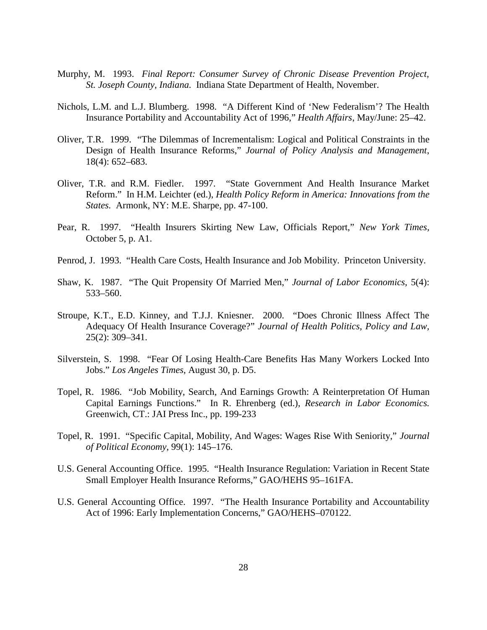- Murphy, M. 1993. *Final Report: Consumer Survey of Chronic Disease Prevention Project, St. Joseph County, Indiana.* Indiana State Department of Health, November.
- Nichols, L.M. and L.J. Blumberg. 1998. "A Different Kind of 'New Federalism'? The Health Insurance Portability and Accountability Act of 1996," *Health Affairs*, May/June: 25–42.
- Oliver, T.R. 1999. "The Dilemmas of Incrementalism: Logical and Political Constraints in the Design of Health Insurance Reforms," *Journal of Policy Analysis and Management*, 18(4): 652–683.
- Oliver, T.R. and R.M. Fiedler. 1997. "State Government And Health Insurance Market Reform." In H.M. Leichter (ed.), *Health Policy Reform in America: Innovations from the States.* Armonk, NY: M.E. Sharpe, pp. 47-100.
- Pear, R. 1997. "Health Insurers Skirting New Law, Officials Report," *New York Times,* October 5, p. A1.
- Penrod, J. 1993. "Health Care Costs, Health Insurance and Job Mobility. Princeton University.
- Shaw, K. 1987. "The Quit Propensity Of Married Men," *Journal of Labor Economics*, 5(4): 533–560.
- Stroupe, K.T., E.D. Kinney, and T.J.J. Kniesner. 2000. "Does Chronic Illness Affect The Adequacy Of Health Insurance Coverage?" *Journal of Health Politics, Policy and Law,* 25(2): 309–341.
- Silverstein, S. 1998. "Fear Of Losing Health-Care Benefits Has Many Workers Locked Into Jobs." *Los Angeles Times*, August 30, p. D5.
- Topel, R. 1986. "Job Mobility, Search, And Earnings Growth: A Reinterpretation Of Human Capital Earnings Functions." In R. Ehrenberg (ed.), *Research in Labor Economics.* Greenwich, CT.: JAI Press Inc., pp. 199-233
- Topel, R. 1991. "Specific Capital, Mobility, And Wages: Wages Rise With Seniority," *Journal of Political Economy*, 99(1): 145–176.
- U.S. General Accounting Office. 1995. "Health Insurance Regulation: Variation in Recent State Small Employer Health Insurance Reforms," GAO/HEHS 95–161FA.
- U.S. General Accounting Office. 1997. "The Health Insurance Portability and Accountability Act of 1996: Early Implementation Concerns," GAO/HEHS–070122.